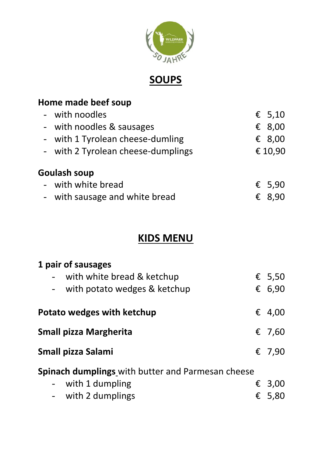

**SOUPS**

| Home made beef soup                               |          |
|---------------------------------------------------|----------|
| with noodles                                      | € $5,10$ |
| - with noodles & sausages                         | € 8,00   |
| - with 1 Tyrolean cheese-dumling                  | € 8,00   |
| - with 2 Tyrolean cheese-dumplings                | € 10,90  |
| <b>Goulash soup</b>                               |          |
| - with white bread                                | € 5,90   |
| - with sausage and white bread                    | € 8,90   |
|                                                   |          |
| <b>KIDS MENU</b>                                  |          |
| 1 pair of sausages                                |          |
| - with white bread & ketchup                      | \$5,50   |
| with potato wedges & ketchup                      | € 6,90   |
| Potato wedges with ketchup                        | € 4,00   |
| <b>Small pizza Margherita</b>                     | € 7,60   |
| Small pizza Salami                                | € 7,90   |
| Spinach dumplings with butter and Parmesan cheese |          |
| with 1 dumpling                                   | € 3,00   |
| - with 2 dumplings                                | € 5,80   |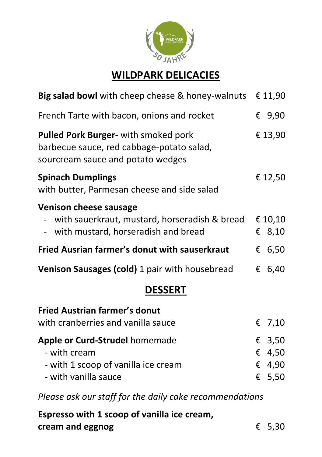

## **WILDPARK DELICACIES**

| <b>Big salad bowl</b> with cheep chease & honey-walnuts                                                                | € 11,90                              |
|------------------------------------------------------------------------------------------------------------------------|--------------------------------------|
| French Tarte with bacon, onions and rocket                                                                             | € 9,90                               |
| Pulled Pork Burger- with smoked pork<br>barbecue sauce, red cabbage-potato salad,<br>sourcream sauce and potato wedges | €13,90                               |
| <b>Spinach Dumplings</b><br>with butter, Parmesan cheese and side salad                                                | € 12,50                              |
| <b>Venison cheese sausage</b><br>with sauerkraut, mustard, horseradish & bread<br>with mustard, horseradish and bread  | € 10,10<br>€ 8,10                    |
| Fried Ausrian farmer's donut with sauserkraut                                                                          | € 6,50                               |
| Venison Sausages (cold) 1 pair with housebread                                                                         | € 6,40                               |
| <b>DESSERT</b>                                                                                                         |                                      |
| <b>Fried Austrian farmer's donut</b><br>with cranberries and vanilla sauce                                             | € 7,10                               |
| <b>Apple or Curd-Strudel homemade</b><br>- with cream<br>- with 1 scoop of vanilla ice cream<br>- with vanilla sauce   | € 3,50<br>€ 4,50<br>€ 4,90<br>€ 5,50 |

*Please ask our staff for the daily cake recommendations*

| Espresso with 1 scoop of vanilla ice cream, |        |
|---------------------------------------------|--------|
| cream and eggnog                            | € 5,30 |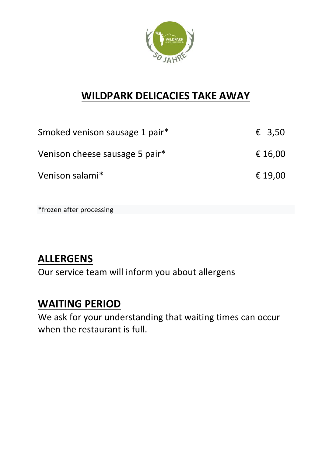

#### **WILDPARK DELICACIES TAKE AWAY**

| Smoked venison sausage 1 pair* | $\epsilon$ 3,50 |
|--------------------------------|-----------------|
| Venison cheese sausage 5 pair* | € 16,00         |
| Venison salami*                | € 19,00         |

\*frozen after processing

#### **ALLERGENS**

Our service team will inform you about allergens

#### **WAITING PERIOD**

We ask for your understanding that waiting times can occur when the restaurant is full.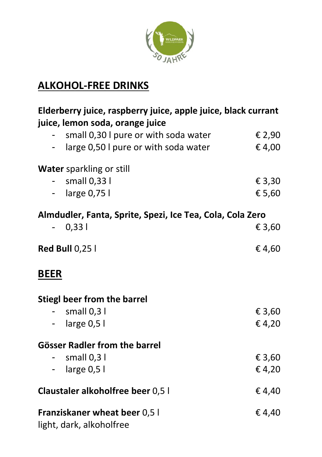

# **ALKOHOL-FREE DRINKS**

| Elderberry juice, raspberry juice, apple juice, black currant<br>juice, lemon soda, orange juice |        |
|--------------------------------------------------------------------------------------------------|--------|
| small 0,30 I pure or with soda water                                                             | € 2,90 |
| large 0,50 l pure or with soda water                                                             | €4,00  |
| Water sparkling or still                                                                         |        |
| small 0,33 l                                                                                     | € 3,30 |
| - large $0,75$ l                                                                                 | € 5,60 |
| Almdudler, Fanta, Sprite, Spezi, Ice Tea, Cola, Cola Zero                                        |        |
| 0,331                                                                                            | € 3,60 |
| <b>Red Bull 0,25 l</b>                                                                           | €4,60  |
| <b>BEER</b>                                                                                      |        |
| Stiegl beer from the barrel                                                                      |        |
| small 0,3 l                                                                                      | € 3,60 |
| large $0,5$ l                                                                                    | €4,20  |
| <b>Gösser Radler from the barrel</b>                                                             |        |
| small $0,3$ l                                                                                    | € 3,60 |
| large $0,5$ l                                                                                    | €4,20  |
| Claustaler alkoholfree beer 0,5 l                                                                | €4,40  |
| Franziskaner wheat beer 0,5 l<br>light, dark, alkoholfree                                        | €4,40  |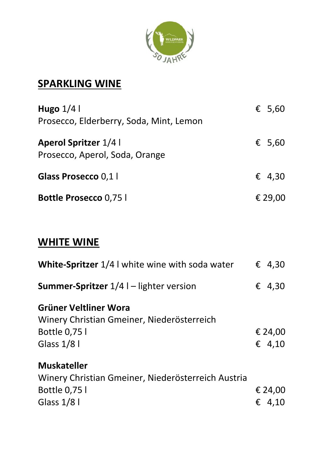

# **SPARKLING WINE**

| Hugo $1/4$  <br>Prosecco, Elderberry, Soda, Mint, Lemon        | € 5,60  |
|----------------------------------------------------------------|---------|
| <b>Aperol Spritzer 1/4 l</b><br>Prosecco, Aperol, Soda, Orange | € 5,60  |
| Glass Prosecco 0,1 l                                           | € 4,30  |
| <b>Bottle Prosecco 0,75 l</b>                                  | € 29,00 |

## **WHITE WINE**

| White-Spritzer 1/4 I white wine with soda water                                                                   |   | € 4,30            |
|-------------------------------------------------------------------------------------------------------------------|---|-------------------|
| <b>Summer-Spritzer</b> $1/4$ I – lighter version                                                                  |   | € 4,30            |
| Grüner Veltliner Wora<br>Winery Christian Gmeiner, Niederösterreich<br>Bottle 0,75<br>Glass $1/8$ l               |   | € 24,00<br>€ 4,10 |
| <b>Muskateller</b><br>Winery Christian Gmeiner, Niederösterreich Austria<br><b>Bottle 0,75 l</b><br>Glass $1/8$ l | € | € 24,00<br>4,10   |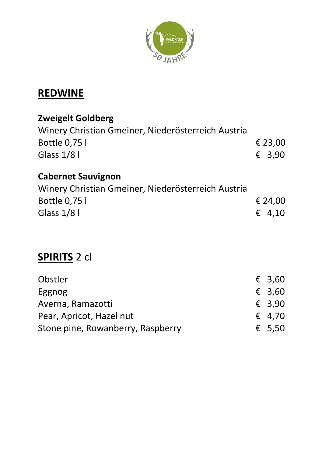

### **REDWINE**

| <b>Zweigelt Goldberg</b>                           |         |
|----------------------------------------------------|---------|
| Winery Christian Gmeiner, Niederösterreich Austria |         |
| Bottle 0,75 l                                      | € 23,00 |
| Glass $1/8$ l                                      | € 3,90  |
| <b>Cabernet Sauvignon</b>                          |         |
| Winery Christian Gmeiner, Niederösterreich Austria |         |
| Bottle 0,75 l                                      | € 24,00 |
| Glass $1/8$ l                                      | € 4,10  |
|                                                    |         |
| <b>SPIRITS 2 cl</b>                                |         |
| Obstler                                            | € 3,60  |
| Eggnog                                             | € 3,60  |
| Averna, Ramazotti                                  | € 3,90  |
| Pear, Apricot, Hazel nut                           | € 4,70  |
| Stone pine, Rowanberry, Raspberry                  | € 5,50  |